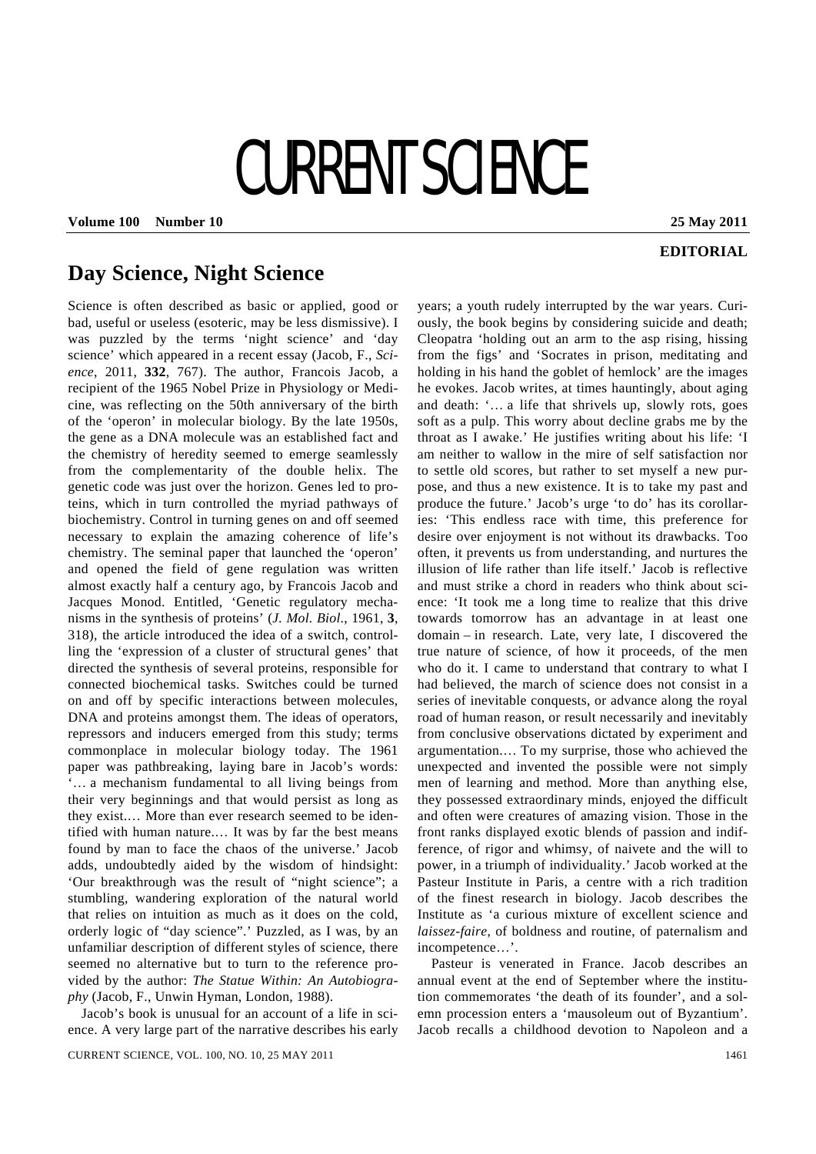## CURRENT SCIENCE

**Volume 100 Number 10 25 May 2011** 

## **EDITORIAL**

## **Day Science, Night Science**

Science is often described as basic or applied, good or bad, useful or useless (esoteric, may be less dismissive). I was puzzled by the terms 'night science' and 'day science' which appeared in a recent essay (Jacob, F., *Science*, 2011, **332**, 767). The author, Francois Jacob, a recipient of the 1965 Nobel Prize in Physiology or Medicine, was reflecting on the 50th anniversary of the birth of the 'operon' in molecular biology. By the late 1950s, the gene as a DNA molecule was an established fact and the chemistry of heredity seemed to emerge seamlessly from the complementarity of the double helix. The genetic code was just over the horizon. Genes led to proteins, which in turn controlled the myriad pathways of biochemistry. Control in turning genes on and off seemed necessary to explain the amazing coherence of life's chemistry. The seminal paper that launched the 'operon' and opened the field of gene regulation was written almost exactly half a century ago, by Francois Jacob and Jacques Monod. Entitled, 'Genetic regulatory mechanisms in the synthesis of proteins' (*J. Mol. Biol*., 1961, **3**, 318), the article introduced the idea of a switch, controlling the 'expression of a cluster of structural genes' that directed the synthesis of several proteins, responsible for connected biochemical tasks. Switches could be turned on and off by specific interactions between molecules, DNA and proteins amongst them. The ideas of operators, repressors and inducers emerged from this study; terms commonplace in molecular biology today. The 1961 paper was pathbreaking, laying bare in Jacob's words: '… a mechanism fundamental to all living beings from their very beginnings and that would persist as long as they exist.… More than ever research seemed to be identified with human nature.… It was by far the best means found by man to face the chaos of the universe.' Jacob adds, undoubtedly aided by the wisdom of hindsight: 'Our breakthrough was the result of "night science"; a stumbling, wandering exploration of the natural world that relies on intuition as much as it does on the cold, orderly logic of "day science".' Puzzled, as I was, by an unfamiliar description of different styles of science, there seemed no alternative but to turn to the reference provided by the author: *The Statue Within: An Autobiography* (Jacob, F., Unwin Hyman, London, 1988).

 Jacob's book is unusual for an account of a life in science. A very large part of the narrative describes his early years; a youth rudely interrupted by the war years. Curiously, the book begins by considering suicide and death; Cleopatra 'holding out an arm to the asp rising, hissing from the figs' and 'Socrates in prison, meditating and holding in his hand the goblet of hemlock' are the images he evokes. Jacob writes, at times hauntingly, about aging and death: '… a life that shrivels up, slowly rots, goes soft as a pulp. This worry about decline grabs me by the throat as I awake.' He justifies writing about his life: 'I am neither to wallow in the mire of self satisfaction nor to settle old scores, but rather to set myself a new purpose, and thus a new existence. It is to take my past and produce the future.' Jacob's urge 'to do' has its corollaries: 'This endless race with time, this preference for desire over enjoyment is not without its drawbacks. Too often, it prevents us from understanding, and nurtures the illusion of life rather than life itself.' Jacob is reflective and must strike a chord in readers who think about science: 'It took me a long time to realize that this drive towards tomorrow has an advantage in at least one domain – in research. Late, very late, I discovered the true nature of science, of how it proceeds, of the men who do it. I came to understand that contrary to what I had believed, the march of science does not consist in a series of inevitable conquests, or advance along the royal road of human reason, or result necessarily and inevitably from conclusive observations dictated by experiment and argumentation.… To my surprise, those who achieved the unexpected and invented the possible were not simply men of learning and method. More than anything else, they possessed extraordinary minds, enjoyed the difficult and often were creatures of amazing vision. Those in the front ranks displayed exotic blends of passion and indifference, of rigor and whimsy, of naivete and the will to power, in a triumph of individuality.' Jacob worked at the Pasteur Institute in Paris, a centre with a rich tradition of the finest research in biology. Jacob describes the Institute as 'a curious mixture of excellent science and *laissez-faire*, of boldness and routine, of paternalism and incompetence…'.

 Pasteur is venerated in France. Jacob describes an annual event at the end of September where the institution commemorates 'the death of its founder', and a solemn procession enters a 'mausoleum out of Byzantium'. Jacob recalls a childhood devotion to Napoleon and a